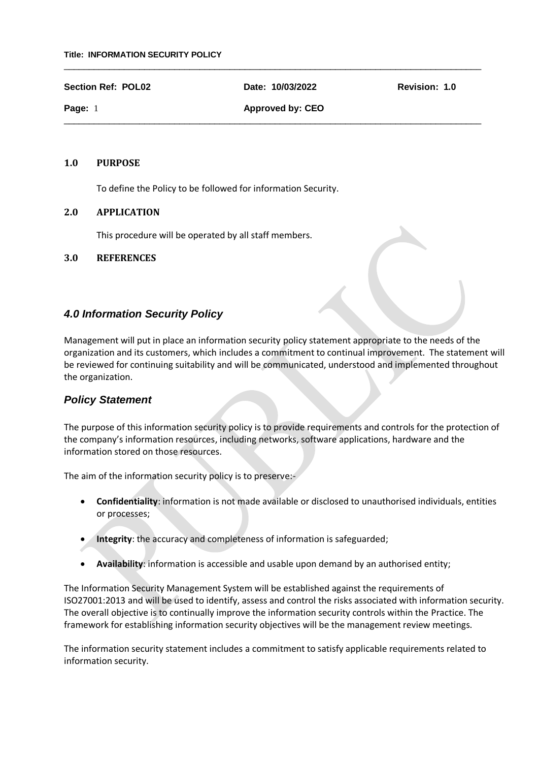#### **Section Ref: POL02 Date: 10/03/2022 Revision: 1.0**

 $\_$  , and the set of the set of the set of the set of the set of the set of the set of the set of the set of the set of the set of the set of the set of the set of the set of the set of the set of the set of the set of th

 $\_$  , and the set of the set of the set of the set of the set of the set of the set of the set of the set of the set of the set of the set of the set of the set of the set of the set of the set of the set of the set of th

**Page: 1 Approved by: CEO** 

### **1.0 PURPOSE**

To define the Policy to be followed for information Security.

### **2.0 APPLICATION**

This procedure will be operated by all staff members.

### **3.0 REFERENCES**

# *4.0 Information Security Policy*

Management will put in place an information security policy statement appropriate to the needs of the organization and its customers, which includes a commitment to continual improvement. The statement will be reviewed for continuing suitability and will be communicated, understood and implemented throughout the organization.

# *Policy Statement*

The purpose of this information security policy is to provide requirements and controls for the protection of the company's information resources, including networks, software applications, hardware and the information stored on those resources.

The aim of the information security policy is to preserve:-

- **Confidentiality**: information is not made available or disclosed to unauthorised individuals, entities or processes;
- **Integrity**: the accuracy and completeness of information is safeguarded;
- **Availability**: information is accessible and usable upon demand by an authorised entity;

The Information Security Management System will be established against the requirements of ISO27001:2013 and will be used to identify, assess and control the risks associated with information security. The overall objective is to continually improve the information security controls within the Practice. The framework for establishing information security objectives will be the management review meetings.

The information security statement includes a commitment to satisfy applicable requirements related to information security.